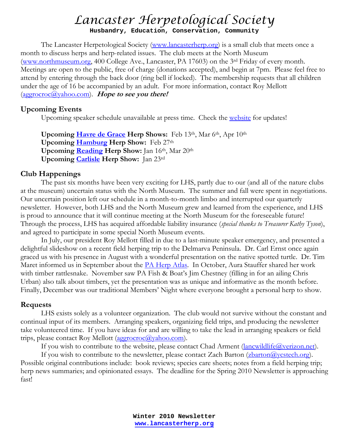## *Lancaster Herpetological Society*

**Husbandry, Education, Conservation, Community**

The Lancaster Herpetological Society [\(www.lancasterherp.org](http://www.lancasterherp.org/)) is a small club that meets once a month to discuss herps and herp-related issues. The club meets at the North Museum [\(www.northmuseum.org,](http://www.northmuseum.org/) 400 College Ave., Lancaster, PA 17603) on the 3rd Friday of every month. Meetings are open to the public, free of charge (donations accepted), and begin at 7pm. Please feel free to attend by entering through the back door (ring bell if locked). The membership requests that all children under the age of 16 be accompanied by an adult. For more information, contact Roy Mellott (aggrocroc@yahoo.com). **Hope to see you there!**

## **Upcoming Events**

Upcoming speaker schedule unavailable at press time. Check th[e website](http://www.lancasterherp.org/) for updates!

**Upcoming [Havre de Grace](http://www.mdreptilefarm.com/shows/md/allmd.asp) Herp Shows:** Feb 13th, Mar 6th, Apr 10th **Upcoming [Hamburg](http://www.pythons.com/hamburg/) Herp Show:** Feb 27th **Upcoming [Reading](http://www.northernberksreptileshow.com/) Herp Show:** Jan 16th, Mar 20th **Upcoming [Carlisle](http://greaterharrisburgreptileexpo.com/) Herp Show:** Jan 23rd

## **Club Happenings**

The past six months have been very exciting for LHS, partly due to our (and all of the nature clubs at the museum) uncertain status with the North Museum. The summer and fall were spent in negotiations. Our uncertain position left our schedule in a month-to-month limbo and interrupted our quarterly newsletter. However, both LHS and the North Museum grew and learned from the experience, and LHS is proud to announce that it will continue meeting at the North Museum for the foreseeable future! Through the process, LHS has acquired affordable liability insurance (*special thanks to Treasurer Kathy Tyson*), and agreed to participate in some special North Museum events.

In July, our president Roy Mellott filled in due to a last-minute speaker emergency, and presented a delightful slideshow on a recent field herping trip to the Delmarva Peninsula. Dr. Carl Ernst once again graced us with his presence in August with a wonderful presentation on the native spotted turtle. Dr. Tim Maret informed us in September about the **PA Herp Atlas**. In October, Aura Stauffer shared her work with timber rattlesnake. November saw PA Fish & Boat's Jim Chestney (filling in for an ailing Chris Urban) also talk about timbers, yet the presentation was as unique and informative as the month before. Finally, December was our traditional Members' Night where everyone brought a personal herp to show.

## **Requests**

LHS exists solely as a volunteer organization. The club would not survive without the constant and continual input of its members. Arranging speakers, organizing field trips, and producing the newsletter take volunteered time. If you have ideas for and are willing to take the lead in arranging speakers or field trips, please contact Roy Mellott (aggrocroc@yahoo.com).

If you wish to contribute to the website, please contact Chad Arment (*lancwildlife@verizon.net*).

If you wish to contribute to the newsletter, please contact Zach Barton [\(zbarton@ycstech.org](mailto:zbarton@ycstech.org)). Possible original contributions include: book reviews; species care sheets; notes from a field herping trip; herp news summaries; and opinionated essays. The deadline for the Spring 2010 Newsletter is approaching fast!